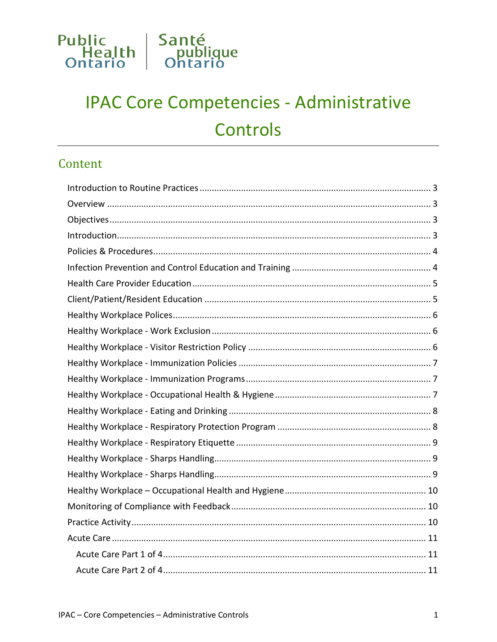

# **IPAC Core Competencies - Administrative** Controls

### Content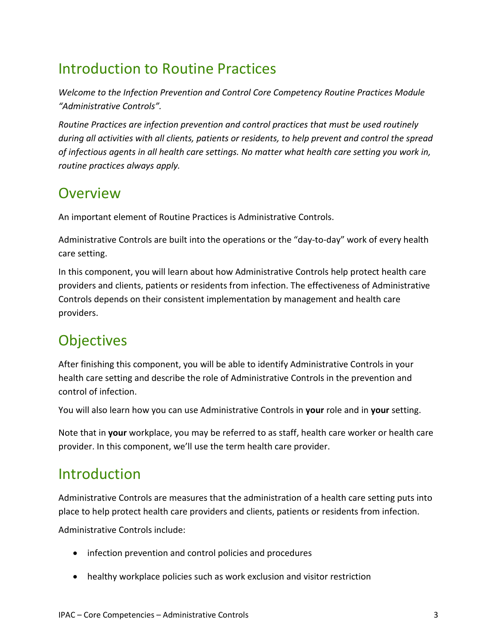## <span id="page-2-0"></span>Introduction to Routine Practices

*Welcome to the Infection Prevention and Control Core Competency Routine Practices Module "Administrative Controls".*

*Routine Practices are infection prevention and control practices that must be used routinely during all activities with all clients, patients or residents, to help prevent and control the spread of infectious agents in all health care settings. No matter what health care setting you work in, routine practices always apply.*

### <span id="page-2-1"></span>**Overview**

An important element of Routine Practices is Administrative Controls.

Administrative Controls are built into the operations or the "day-to-day" work of every health care setting.

In this component, you will learn about how Administrative Controls help protect health care providers and clients, patients or residents from infection. The effectiveness of Administrative Controls depends on their consistent implementation by management and health care providers.

## <span id="page-2-2"></span>**Objectives**

After finishing this component, you will be able to identify Administrative Controls in your health care setting and describe the role of Administrative Controls in the prevention and control of infection.

You will also learn how you can use Administrative Controls in **your** role and in **your** setting.

Note that in **your** workplace, you may be referred to as staff, health care worker or health care provider. In this component, we'll use the term health care provider.

### <span id="page-2-3"></span>Introduction

Administrative Controls are measures that the administration of a health care setting puts into place to help protect health care providers and clients, patients or residents from infection. Administrative Controls include:

- infection prevention and control policies and procedures
- healthy workplace policies such as work exclusion and visitor restriction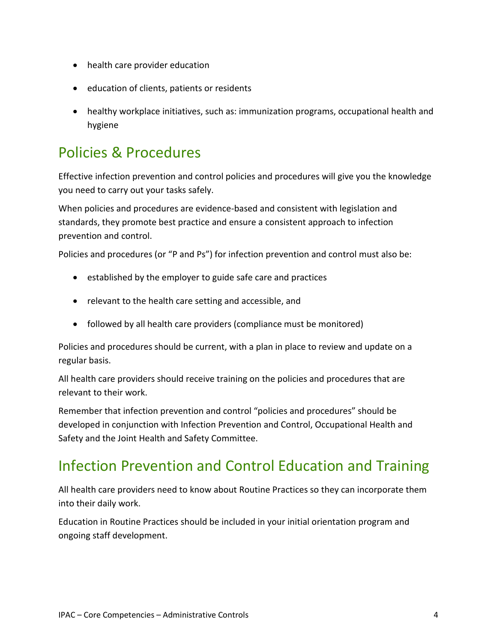- health care provider education
- education of clients, patients or residents
- healthy workplace initiatives, such as: immunization programs, occupational health and hygiene

### <span id="page-3-0"></span>Policies & Procedures

Effective infection prevention and control policies and procedures will give you the knowledge you need to carry out your tasks safely.

When policies and procedures are evidence-based and consistent with legislation and standards, they promote best practice and ensure a consistent approach to infection prevention and control.

Policies and procedures (or "P and Ps") for infection prevention and control must also be:

- established by the employer to guide safe care and practices
- relevant to the health care setting and accessible, and
- followed by all health care providers (compliance must be monitored)

Policies and procedures should be current, with a plan in place to review and update on a regular basis.

All health care providers should receive training on the policies and procedures that are relevant to their work.

Remember that infection prevention and control "policies and procedures" should be developed in conjunction with Infection Prevention and Control, Occupational Health and Safety and the Joint Health and Safety Committee.

## <span id="page-3-1"></span>Infection Prevention and Control Education and Training

All health care providers need to know about Routine Practices so they can incorporate them into their daily work.

Education in Routine Practices should be included in your initial orientation program and ongoing staff development.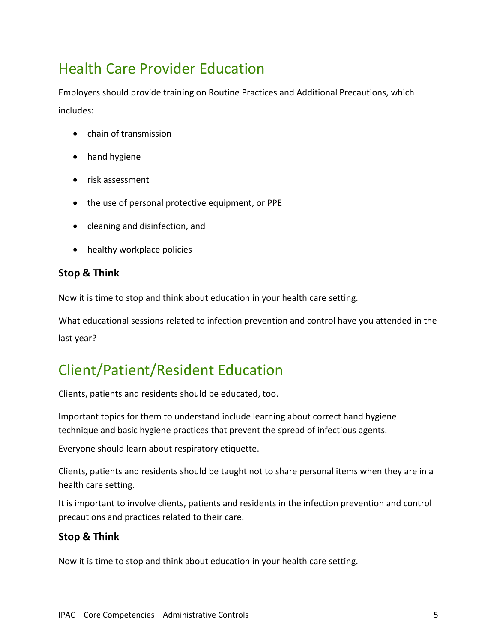## <span id="page-4-0"></span>Health Care Provider Education

Employers should provide training on Routine Practices and Additional Precautions, which includes:

- chain of transmission
- hand hygiene
- risk assessment
- the use of personal protective equipment, or PPE
- cleaning and disinfection, and
- healthy workplace policies

#### **Stop & Think**

Now it is time to stop and think about education in your health care setting.

What educational sessions related to infection prevention and control have you attended in the last year?

### <span id="page-4-1"></span>Client/Patient/Resident Education

Clients, patients and residents should be educated, too.

Important topics for them to understand include learning about correct hand hygiene technique and basic hygiene practices that prevent the spread of infectious agents.

Everyone should learn about respiratory etiquette.

Clients, patients and residents should be taught not to share personal items when they are in a health care setting.

It is important to involve clients, patients and residents in the infection prevention and control precautions and practices related to their care.

#### **Stop & Think**

Now it is time to stop and think about education in your health care setting.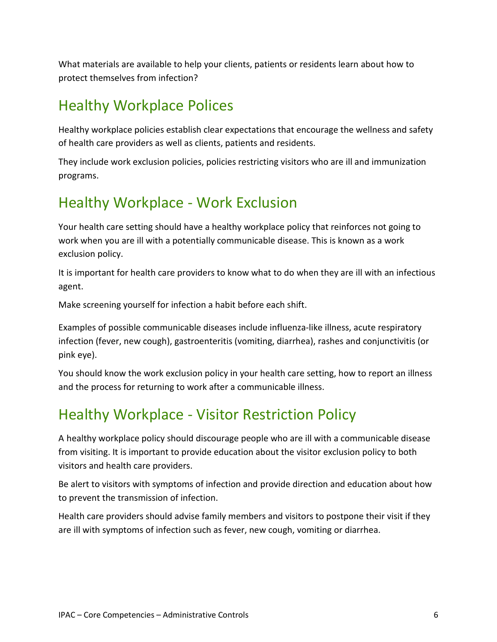What materials are available to help your clients, patients or residents learn about how to protect themselves from infection?

## <span id="page-5-0"></span>Healthy Workplace Polices

Healthy workplace policies establish clear expectations that encourage the wellness and safety of health care providers as well as clients, patients and residents.

They include work exclusion policies, policies restricting visitors who are ill and immunization programs.

### <span id="page-5-1"></span>Healthy Workplace - Work Exclusion

Your health care setting should have a healthy workplace policy that reinforces not going to work when you are ill with a potentially communicable disease. This is known as a work exclusion policy.

It is important for health care providers to know what to do when they are ill with an infectious agent.

Make screening yourself for infection a habit before each shift.

Examples of possible communicable diseases include influenza-like illness, acute respiratory infection (fever, new cough), gastroenteritis (vomiting, diarrhea), rashes and conjunctivitis (or pink eye).

You should know the work exclusion policy in your health care setting, how to report an illness and the process for returning to work after a communicable illness.

## <span id="page-5-2"></span>Healthy Workplace - Visitor Restriction Policy

A healthy workplace policy should discourage people who are ill with a communicable disease from visiting. It is important to provide education about the visitor exclusion policy to both visitors and health care providers.

Be alert to visitors with symptoms of infection and provide direction and education about how to prevent the transmission of infection.

Health care providers should advise family members and visitors to postpone their visit if they are ill with symptoms of infection such as fever, new cough, vomiting or diarrhea.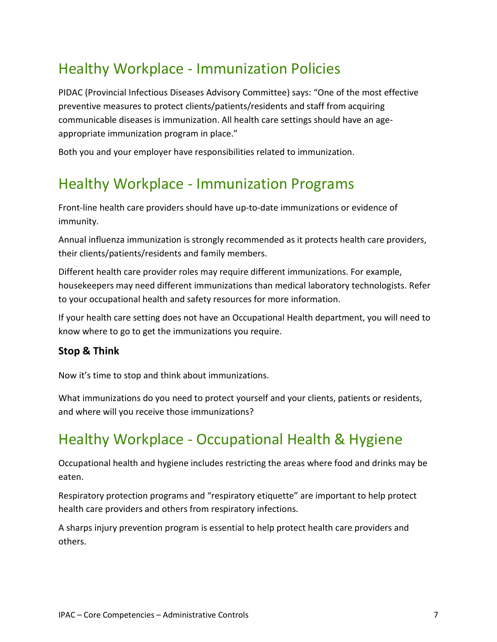## <span id="page-6-0"></span>Healthy Workplace - Immunization Policies

PIDAC (Provincial Infectious Diseases Advisory Committee) says: "One of the most effective preventive measures to protect clients/patients/residents and staff from acquiring communicable diseases is immunization. All health care settings should have an ageappropriate immunization program in place."

Both you and your employer have responsibilities related to immunization.

### <span id="page-6-1"></span>Healthy Workplace - Immunization Programs

Front-line health care providers should have up-to-date immunizations or evidence of immunity.

Annual influenza immunization is strongly recommended as it protects health care providers, their clients/patients/residents and family members.

Different health care provider roles may require different immunizations. For example, housekeepers may need different immunizations than medical laboratory technologists. Refer to your occupational health and safety resources for more information.

If your health care setting does not have an Occupational Health department, you will need to know where to go to get the immunizations you require.

#### **Stop & Think**

Now it's time to stop and think about immunizations.

What immunizations do you need to protect yourself and your clients, patients or residents, and where will you receive those immunizations?

### <span id="page-6-2"></span>Healthy Workplace - Occupational Health & Hygiene

Occupational health and hygiene includes restricting the areas where food and drinks may be eaten.

Respiratory protection programs and "respiratory etiquette" are important to help protect health care providers and others from respiratory infections.

A sharps injury prevention program is essential to help protect health care providers and others.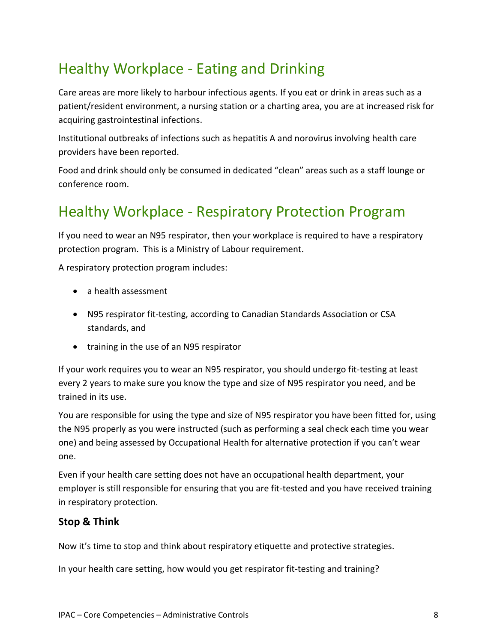## <span id="page-7-0"></span>Healthy Workplace - Eating and Drinking

Care areas are more likely to harbour infectious agents. If you eat or drink in areas such as a patient/resident environment, a nursing station or a charting area, you are at increased risk for acquiring gastrointestinal infections.

Institutional outbreaks of infections such as hepatitis A and norovirus involving health care providers have been reported.

Food and drink should only be consumed in dedicated "clean" areas such as a staff lounge or conference room.

## <span id="page-7-1"></span>Healthy Workplace - Respiratory Protection Program

If you need to wear an N95 respirator, then your workplace is required to have a respiratory protection program. This is a Ministry of Labour requirement.

A respiratory protection program includes:

- a health assessment
- N95 respirator fit-testing, according to Canadian Standards Association or CSA standards, and
- training in the use of an N95 respirator

If your work requires you to wear an N95 respirator, you should undergo fit-testing at least every 2 years to make sure you know the type and size of N95 respirator you need, and be trained in its use.

You are responsible for using the type and size of N95 respirator you have been fitted for, using the N95 properly as you were instructed (such as performing a seal check each time you wear one) and being assessed by Occupational Health for alternative protection if you can't wear one.

Even if your health care setting does not have an occupational health department, your employer is still responsible for ensuring that you are fit-tested and you have received training in respiratory protection.

#### **Stop & Think**

Now it's time to stop and think about respiratory etiquette and protective strategies.

In your health care setting, how would you get respirator fit-testing and training?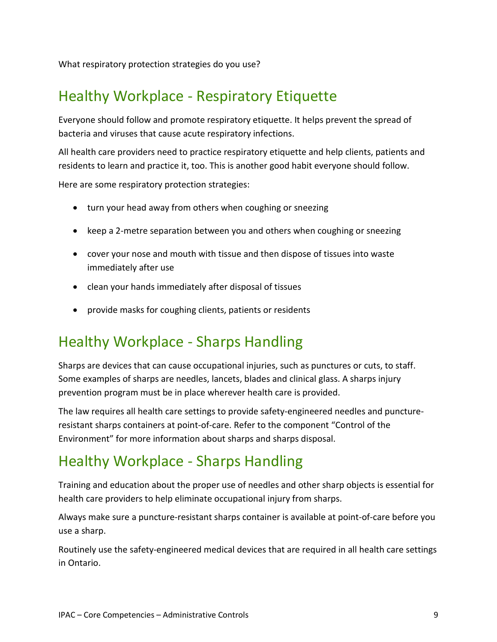What respiratory protection strategies do you use?

### <span id="page-8-0"></span>Healthy Workplace - Respiratory Etiquette

Everyone should follow and promote respiratory etiquette. It helps prevent the spread of bacteria and viruses that cause acute respiratory infections.

All health care providers need to practice respiratory etiquette and help clients, patients and residents to learn and practice it, too. This is another good habit everyone should follow.

Here are some respiratory protection strategies:

- turn your head away from others when coughing or sneezing
- keep a 2-metre separation between you and others when coughing or sneezing
- cover your nose and mouth with tissue and then dispose of tissues into waste immediately after use
- clean your hands immediately after disposal of tissues
- provide masks for coughing clients, patients or residents

### <span id="page-8-1"></span>Healthy Workplace - Sharps Handling

Sharps are devices that can cause occupational injuries, such as punctures or cuts, to staff. Some examples of sharps are needles, lancets, blades and clinical glass. A sharps injury prevention program must be in place wherever health care is provided.

The law requires all health care settings to provide safety-engineered needles and punctureresistant sharps containers at point-of-care. Refer to the component "Control of the Environment" for more information about sharps and sharps disposal.

### <span id="page-8-2"></span>Healthy Workplace - Sharps Handling

Training and education about the proper use of needles and other sharp objects is essential for health care providers to help eliminate occupational injury from sharps.

Always make sure a puncture-resistant sharps container is available at point-of-care before you use a sharp.

Routinely use the safety-engineered medical devices that are required in all health care settings in Ontario.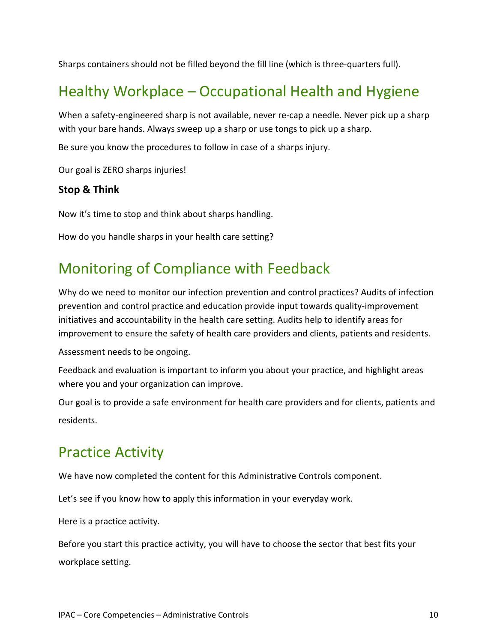Sharps containers should not be filled beyond the fill line (which is three-quarters full).

## <span id="page-9-0"></span>Healthy Workplace – Occupational Health and Hygiene

When a safety-engineered sharp is not available, never re-cap a needle. Never pick up a sharp with your bare hands. Always sweep up a sharp or use tongs to pick up a sharp.

Be sure you know the procedures to follow in case of a sharps injury.

Our goal is ZERO sharps injuries!

#### **Stop & Think**

Now it's time to stop and think about sharps handling.

How do you handle sharps in your health care setting?

### <span id="page-9-1"></span>Monitoring of Compliance with Feedback

Why do we need to monitor our infection prevention and control practices? Audits of infection prevention and control practice and education provide input towards quality-improvement initiatives and accountability in the health care setting. Audits help to identify areas for improvement to ensure the safety of health care providers and clients, patients and residents.

Assessment needs to be ongoing.

Feedback and evaluation is important to inform you about your practice, and highlight areas where you and your organization can improve.

Our goal is to provide a safe environment for health care providers and for clients, patients and residents.

### <span id="page-9-2"></span>Practice Activity

We have now completed the content for this Administrative Controls component.

Let's see if you know how to apply this information in your everyday work.

Here is a practice activity.

Before you start this practice activity, you will have to choose the sector that best fits your workplace setting.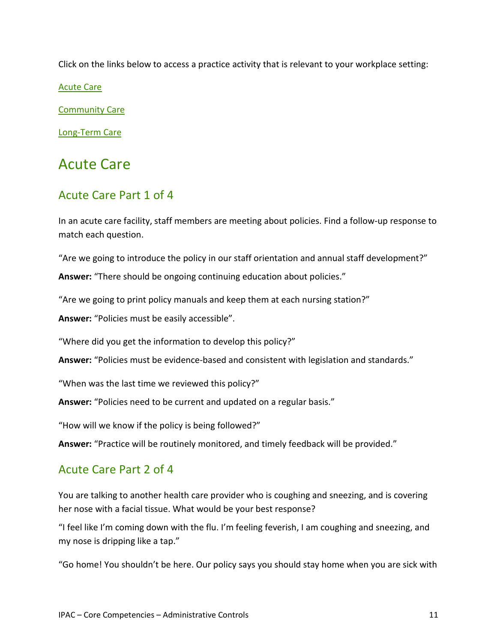Click on the links below to access a practice activity that is relevant to your workplace setting:

[Acute Care](#page-10-0)

[Community Care](#page-12-0)

[Long-Term Care](#page-15-0)

### <span id="page-10-0"></span>Acute Care

### <span id="page-10-1"></span>Acute Care Part 1 of 4

In an acute care facility, staff members are meeting about policies. Find a follow-up response to match each question.

"Are we going to introduce the policy in our staff orientation and annual staff development?"

**Answer:** "There should be ongoing continuing education about policies."

"Are we going to print policy manuals and keep them at each nursing station?"

**Answer:** "Policies must be easily accessible".

"Where did you get the information to develop this policy?"

**Answer:** "Policies must be evidence-based and consistent with legislation and standards."

"When was the last time we reviewed this policy?"

**Answer:** "Policies need to be current and updated on a regular basis."

"How will we know if the policy is being followed?"

**Answer:** "Practice will be routinely monitored, and timely feedback will be provided."

### <span id="page-10-2"></span>Acute Care Part 2 of 4

You are talking to another health care provider who is coughing and sneezing, and is covering her nose with a facial tissue. What would be your best response?

"I feel like I'm coming down with the flu. I'm feeling feverish, I am coughing and sneezing, and my nose is dripping like a tap."

"Go home! You shouldn't be here. Our policy says you should stay home when you are sick with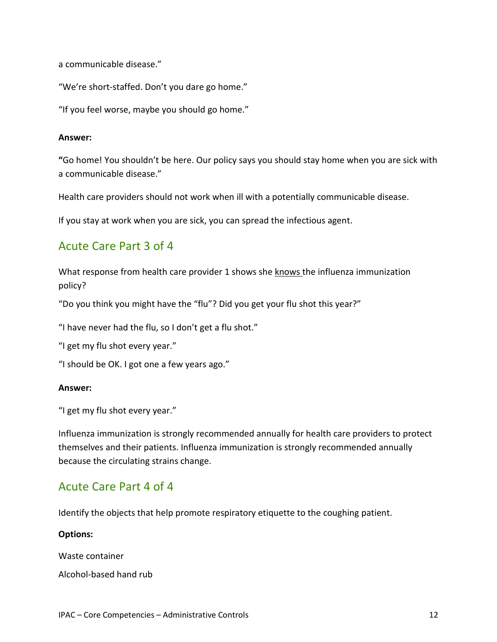```
a communicable disease."
```
"We're short-staffed. Don't you dare go home."

"If you feel worse, maybe you should go home."

#### **Answer:**

**"**Go home! You shouldn't be here. Our policy says you should stay home when you are sick with a communicable disease."

Health care providers should not work when ill with a potentially communicable disease.

If you stay at work when you are sick, you can spread the infectious agent.

### <span id="page-11-0"></span>Acute Care Part 3 of 4

What response from health care provider 1 shows she knows the influenza immunization policy?

"Do you think you might have the "flu"? Did you get your flu shot this year?"

"I have never had the flu, so I don't get a flu shot."

"I get my flu shot every year."

"I should be OK. I got one a few years ago."

#### **Answer:**

"I get my flu shot every year."

Influenza immunization is strongly recommended annually for health care providers to protect themselves and their patients. Influenza immunization is strongly recommended annually because the circulating strains change.

### <span id="page-11-1"></span>Acute Care Part 4 of 4

Identify the objects that help promote respiratory etiquette to the coughing patient.

#### **Options:**

Waste container

Alcohol-based hand rub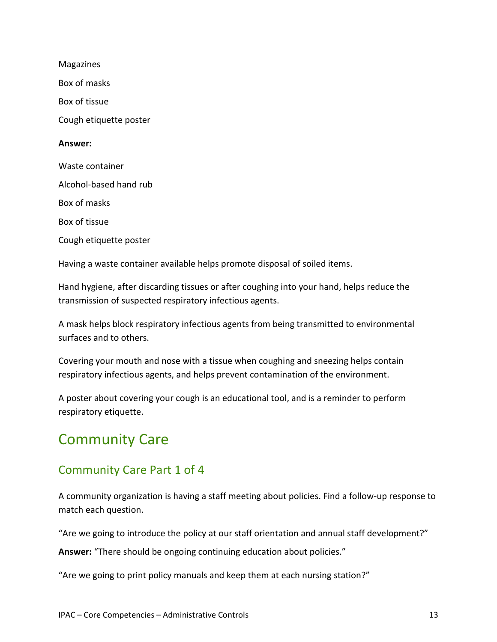Magazines Box of masks Box of tissue Cough etiquette poster **Answer:** Waste container Alcohol-based hand rub Box of masks Box of tissue Cough etiquette poster

Having a waste container available helps promote disposal of soiled items.

Hand hygiene, after discarding tissues or after coughing into your hand, helps reduce the transmission of suspected respiratory infectious agents.

A mask helps block respiratory infectious agents from being transmitted to environmental surfaces and to others.

Covering your mouth and nose with a tissue when coughing and sneezing helps contain respiratory infectious agents, and helps prevent contamination of the environment.

A poster about covering your cough is an educational tool, and is a reminder to perform respiratory etiquette.

## <span id="page-12-0"></span>Community Care

### <span id="page-12-1"></span>Community Care Part 1 of 4

A community organization is having a staff meeting about policies. Find a follow-up response to match each question.

"Are we going to introduce the policy at our staff orientation and annual staff development?"

**Answer:** "There should be ongoing continuing education about policies."

"Are we going to print policy manuals and keep them at each nursing station?"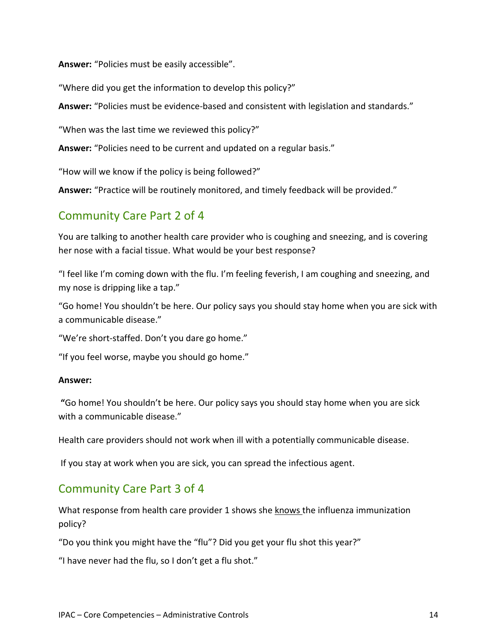**Answer:** "Policies must be easily accessible".

"Where did you get the information to develop this policy?"

**Answer:** "Policies must be evidence-based and consistent with legislation and standards."

"When was the last time we reviewed this policy?"

**Answer:** "Policies need to be current and updated on a regular basis."

"How will we know if the policy is being followed?"

**Answer:** "Practice will be routinely monitored, and timely feedback will be provided."

### <span id="page-13-0"></span>Community Care Part 2 of 4

You are talking to another health care provider who is coughing and sneezing, and is covering her nose with a facial tissue. What would be your best response?

"I feel like I'm coming down with the flu. I'm feeling feverish, I am coughing and sneezing, and my nose is dripping like a tap."

"Go home! You shouldn't be here. Our policy says you should stay home when you are sick with a communicable disease."

"We're short-staffed. Don't you dare go home."

"If you feel worse, maybe you should go home."

#### **Answer:**

**"**Go home! You shouldn't be here. Our policy says you should stay home when you are sick with a communicable disease."

Health care providers should not work when ill with a potentially communicable disease.

If you stay at work when you are sick, you can spread the infectious agent.

### <span id="page-13-1"></span>Community Care Part 3 of 4

What response from health care provider 1 shows she knows the influenza immunization policy?

"Do you think you might have the "flu"? Did you get your flu shot this year?"

"I have never had the flu, so I don't get a flu shot."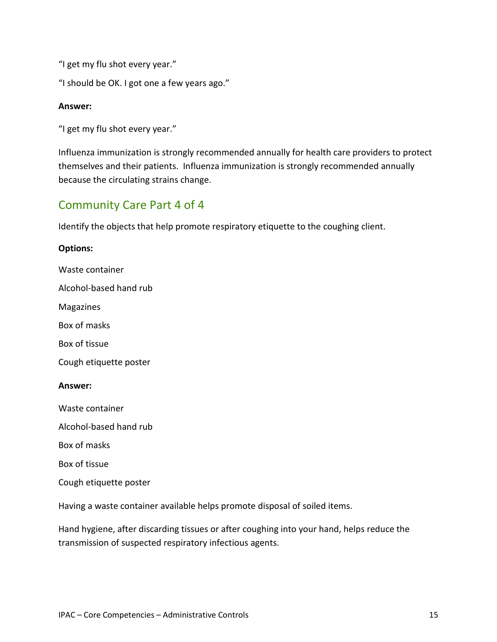"I get my flu shot every year."

"I should be OK. I got one a few years ago."

#### **Answer:**

"I get my flu shot every year."

Influenza immunization is strongly recommended annually for health care providers to protect themselves and their patients. Influenza immunization is strongly recommended annually because the circulating strains change.

### <span id="page-14-0"></span>Community Care Part 4 of 4

Identify the objects that help promote respiratory etiquette to the coughing client.

#### **Options:**

Waste container

Alcohol-based hand rub

Magazines

Box of masks

Box of tissue

Cough etiquette poster

#### **Answer:**

Waste container

Alcohol-based hand rub

Box of masks

Box of tissue

Cough etiquette poster

Having a waste container available helps promote disposal of soiled items.

Hand hygiene, after discarding tissues or after coughing into your hand, helps reduce the transmission of suspected respiratory infectious agents.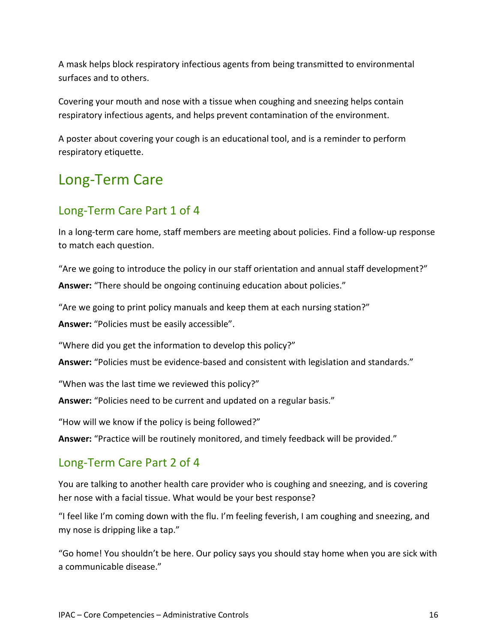A mask helps block respiratory infectious agents from being transmitted to environmental surfaces and to others.

Covering your mouth and nose with a tissue when coughing and sneezing helps contain respiratory infectious agents, and helps prevent contamination of the environment.

A poster about covering your cough is an educational tool, and is a reminder to perform respiratory etiquette.

## <span id="page-15-0"></span>Long-Term Care

### <span id="page-15-1"></span>Long-Term Care Part 1 of 4

In a long-term care home, staff members are meeting about policies. Find a follow-up response to match each question.

"Are we going to introduce the policy in our staff orientation and annual staff development?" **Answer:** "There should be ongoing continuing education about policies."

"Are we going to print policy manuals and keep them at each nursing station?"

**Answer:** "Policies must be easily accessible".

"Where did you get the information to develop this policy?"

**Answer:** "Policies must be evidence-based and consistent with legislation and standards."

"When was the last time we reviewed this policy?"

**Answer:** "Policies need to be current and updated on a regular basis."

"How will we know if the policy is being followed?"

**Answer:** "Practice will be routinely monitored, and timely feedback will be provided."

### <span id="page-15-2"></span>Long-Term Care Part 2 of 4

You are talking to another health care provider who is coughing and sneezing, and is covering her nose with a facial tissue. What would be your best response?

"I feel like I'm coming down with the flu. I'm feeling feverish, I am coughing and sneezing, and my nose is dripping like a tap."

"Go home! You shouldn't be here. Our policy says you should stay home when you are sick with a communicable disease."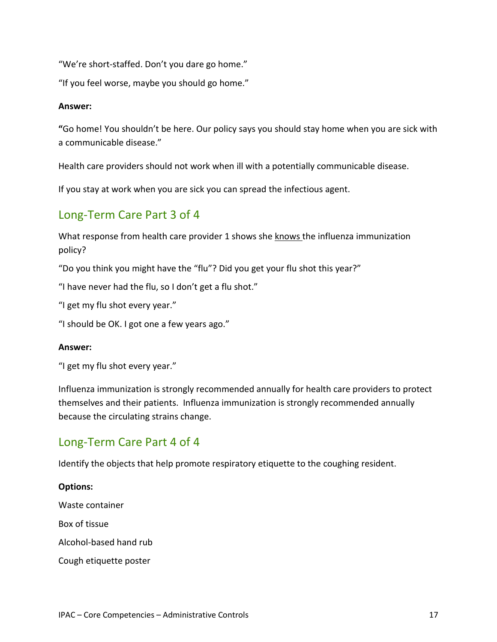"We're short-staffed. Don't you dare go home."

"If you feel worse, maybe you should go home."

#### **Answer:**

**"**Go home! You shouldn't be here. Our policy says you should stay home when you are sick with a communicable disease."

Health care providers should not work when ill with a potentially communicable disease.

If you stay at work when you are sick you can spread the infectious agent.

### <span id="page-16-0"></span>Long-Term Care Part 3 of 4

What response from health care provider 1 shows she knows the influenza immunization policy?

"Do you think you might have the "flu"? Did you get your flu shot this year?"

"I have never had the flu, so I don't get a flu shot."

"I get my flu shot every year."

"I should be OK. I got one a few years ago."

#### **Answer:**

"I get my flu shot every year."

Influenza immunization is strongly recommended annually for health care providers to protect themselves and their patients. Influenza immunization is strongly recommended annually because the circulating strains change.

### <span id="page-16-1"></span>Long-Term Care Part 4 of 4

Identify the objects that help promote respiratory etiquette to the coughing resident.

### **Options:** Waste container Box of tissue Alcohol-based hand rub Cough etiquette poster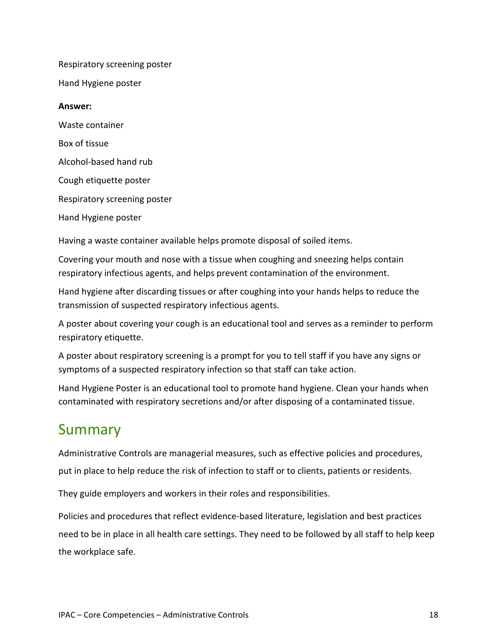Respiratory screening poster

Hand Hygiene poster

#### **Answer:**

Waste container Box of tissue Alcohol-based hand rub Cough etiquette poster Respiratory screening poster Hand Hygiene poster

Having a waste container available helps promote disposal of soiled items.

Covering your mouth and nose with a tissue when coughing and sneezing helps contain respiratory infectious agents, and helps prevent contamination of the environment.

Hand hygiene after discarding tissues or after coughing into your hands helps to reduce the transmission of suspected respiratory infectious agents.

A poster about covering your cough is an educational tool and serves as a reminder to perform respiratory etiquette.

A poster about respiratory screening is a prompt for you to tell staff if you have any signs or symptoms of a suspected respiratory infection so that staff can take action.

Hand Hygiene Poster is an educational tool to promote hand hygiene. Clean your hands when contaminated with respiratory secretions and/or after disposing of a contaminated tissue.

### <span id="page-17-0"></span>Summary

Administrative Controls are managerial measures, such as effective policies and procedures, put in place to help reduce the risk of infection to staff or to clients, patients or residents.

They guide employers and workers in their roles and responsibilities.

Policies and procedures that reflect evidence-based literature, legislation and best practices need to be in place in all health care settings. They need to be followed by all staff to help keep the workplace safe.